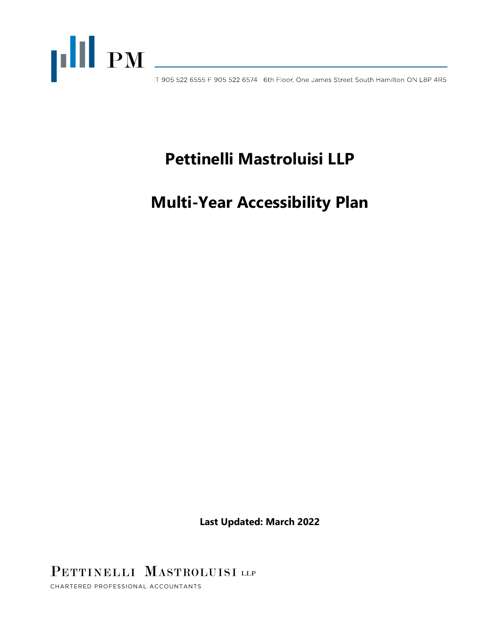

# **Pettinelli Mastroluisi LLP**

**Multi-Year Accessibility Plan**

**Last Updated: March 2022**

PETTINELLI MASTROLUISI LLP

CHARTERED PROFESSIONAL ACCOUNTANTS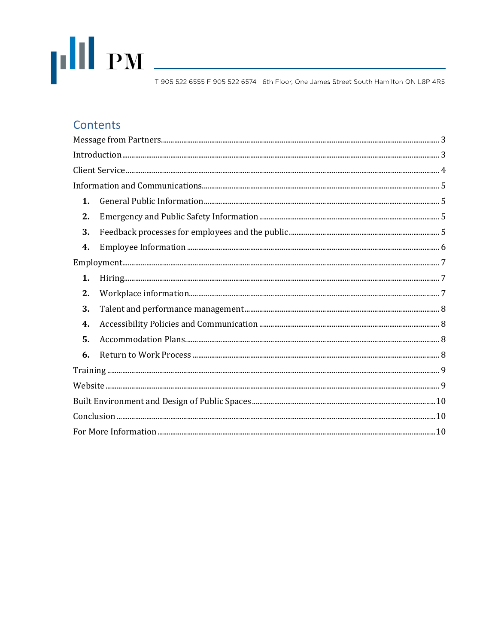

# Contents

| 1. |  |  |
|----|--|--|
| 2. |  |  |
| 3. |  |  |
| 4. |  |  |
|    |  |  |
| 1. |  |  |
| 2. |  |  |
| 3. |  |  |
| 4. |  |  |
| 5. |  |  |
| 6. |  |  |
|    |  |  |
|    |  |  |
|    |  |  |
|    |  |  |
|    |  |  |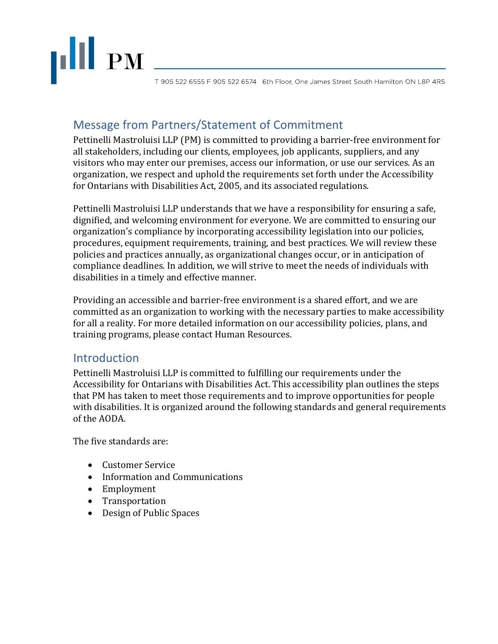# **THE PM**

T 905 522 6555 F 905 522 6574 6th Floor, One James Street South Hamilton ON L8P 4R5

# <span id="page-2-0"></span>Message from Partners/Statement of Commitment

Pettinelli Mastroluisi LLP (PM) is committed to providing a barrier-free environment for all stakeholders, including our clients, employees, job applicants, suppliers, and any visitors who may enter our premises, access our information, or use our services. As an organization, we respect and uphold the requirements set forth under the Accessibility for Ontarians with Disabilities Act, 2005, and its associated regulations.

Pettinelli Mastroluisi LLP understands that we have a responsibility for ensuring a safe, dignified, and welcoming environment for everyone. We are committed to ensuring our organization's compliance by incorporating accessibility legislation into our policies, procedures, equipment requirements, training, and best practices. We will review these policies and practices annually, as organizational changes occur, or in anticipation of compliance deadlines. In addition, we will strive to meet the needs of individuals with disabilities in a timely and effective manner.

Providing an accessible and barrier-free environment is a shared effort, and we are committed as an organization to working with the necessary parties to make accessibility for all a reality. For more detailed information on our accessibility policies, plans, and training programs, please contact Human Resources.

# <span id="page-2-1"></span>**Introduction**

Pettinelli Mastroluisi LLP is committed to fulfilling our requirements under the Accessibility for Ontarians with Disabilities Act. This accessibility plan outlines the steps that PM has taken to meet those requirements and to improve opportunities for people with disabilities. It is organized around the following standards and general requirements of the AODA.

The five standards are:

- Customer Service
- Information and Communications
- Employment
- Transportation
- Design of Public Spaces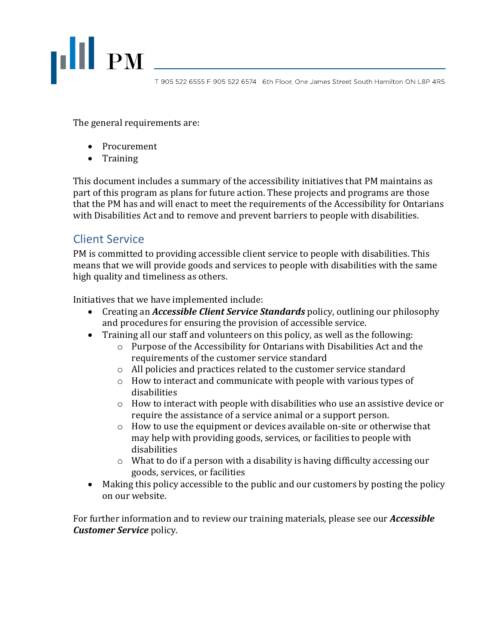

The general requirements are:

- Procurement
- Training

This document includes a summary of the accessibility initiatives that PM maintains as part of this program as plans for future action. These projects and programs are those that the PM has and will enact to meet the requirements of the Accessibility for Ontarians with Disabilities Act and to remove and prevent barriers to people with disabilities.

# <span id="page-3-0"></span>Client Service

PM is committed to providing accessible client service to people with disabilities. This means that we will provide goods and services to people with disabilities with the same high quality and timeliness as others.

Initiatives that we have implemented include:

- Creating an *Accessible Client Service Standards* policy, outlining our philosophy and procedures for ensuring the provision of accessible service.
- Training all our staff and volunteers on this policy, as well as the following:
	- $\circ$  Purpose of the Accessibility for Ontarians with Disabilities Act and the requirements of the customer service standard
	- o All policies and practices related to the customer service standard
	- o How to interact and communicate with people with various types of disabilities
	- $\circ$  How to interact with people with disabilities who use an assistive device or require the assistance of a service animal or a support person.
	- o How to use the equipment or devices available on-site or otherwise that may help with providing goods, services, or facilities to people with disabilities
	- o What to do if a person with a disability is having difficulty accessing our goods, services, or facilities
- Making this policy accessible to the public and our customers by posting the policy on our website.

For further information and to review our training materials, please see our *Accessible Customer Service* policy.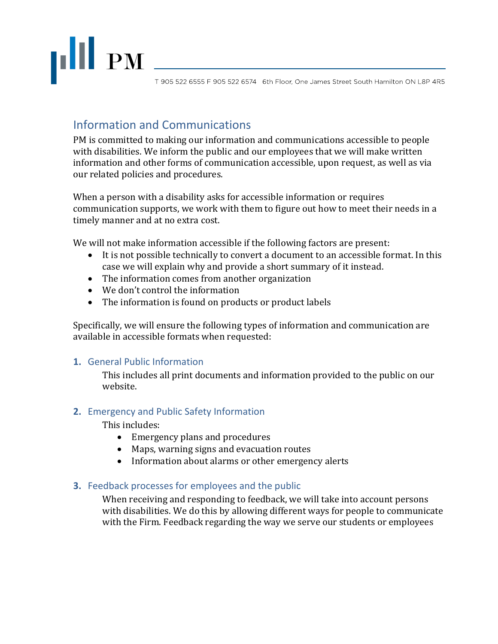

# <span id="page-4-0"></span>Information and Communications

PM is committed to making our information and communications accessible to people with disabilities. We inform the public and our employees that we will make written information and other forms of communication accessible, upon request, as well as via our related policies and procedures.

When a person with a disability asks for accessible information or requires communication supports, we work with them to figure out how to meet their needs in a timely manner and at no extra cost.

We will not make information accessible if the following factors are present:

- It is not possible technically to convert a document to an accessible format. In this case we will explain why and provide a short summary of it instead.
- The information comes from another organization
- We don't control the information
- The information is found on products or product labels

Specifically, we will ensure the following types of information and communication are available in accessible formats when requested:

#### <span id="page-4-1"></span>**1.** General Public Information

This includes all print documents and information provided to the public on our website.

#### <span id="page-4-2"></span>**2.** Emergency and Public Safety Information

This includes:

- Emergency plans and procedures
- Maps, warning signs and evacuation routes
- Information about alarms or other emergency alerts

#### <span id="page-4-3"></span>**3.** Feedback processes for employees and the public

When receiving and responding to feedback, we will take into account persons with disabilities. We do this by allowing different ways for people to communicate with the Firm. Feedback regarding the way we serve our students or employees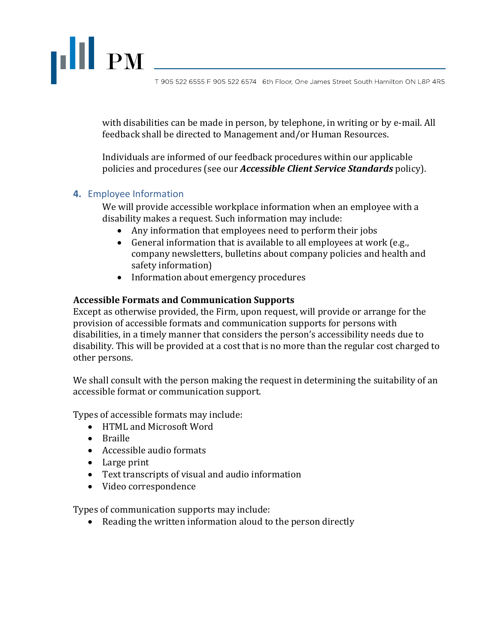with disabilities can be made in person, by telephone, in writing or by e-mail. All feedback shall be directed to Management and/or Human Resources.

Individuals are informed of our feedback procedures within our applicable policies and procedures (see our *Accessible Client Service Standards* policy).

#### <span id="page-5-0"></span>**4.** Employee Information

**III** PM

We will provide accessible workplace information when an employee with a disability makes a request. Such information may include:

- Any information that employees need to perform their jobs
- General information that is available to all employees at work (e.g., company newsletters, bulletins about company policies and health and safety information)
- Information about emergency procedures

#### **Accessible Formats and Communication Supports**

Except as otherwise provided, the Firm, upon request, will provide or arrange for the provision of accessible formats and communication supports for persons with disabilities, in a timely manner that considers the person's accessibility needs due to disability. This will be provided at a cost that is no more than the regular cost charged to other persons.

We shall consult with the person making the request in determining the suitability of an accessible format or communication support.

Types of accessible formats may include:

- HTML and Microsoft Word
- Braille
- Accessible audio formats
- Large print
- Text transcripts of visual and audio information
- Video correspondence

Types of communication supports may include:

• Reading the written information aloud to the person directly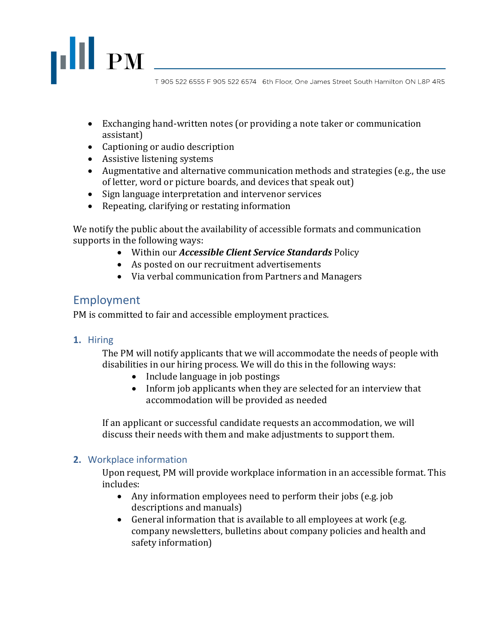- Exchanging hand-written notes (or providing a note taker or communication assistant)
- Captioning or audio description
- Assistive listening systems
- Augmentative and alternative communication methods and strategies (e.g., the use of letter, word or picture boards, and devices that speak out)
- Sign language interpretation and intervenor services
- Repeating, clarifying or restating information

We notify the public about the availability of accessible formats and communication supports in the following ways:

- Within our *Accessible Client Service Standards* Policy
- As posted on our recruitment advertisements
- Via verbal communication from Partners and Managers

## <span id="page-6-0"></span>Employment

**III** PM

PM is committed to fair and accessible employment practices.

#### <span id="page-6-1"></span>**1.** Hiring

The PM will notify applicants that we will accommodate the needs of people with disabilities in our hiring process. We will do this in the following ways:

- Include language in job postings
- Inform job applicants when they are selected for an interview that accommodation will be provided as needed

If an applicant or successful candidate requests an accommodation, we will discuss their needs with them and make adjustments to support them.

#### <span id="page-6-2"></span>**2.** Workplace information

Upon request, PM will provide workplace information in an accessible format. This includes:

- Any information employees need to perform their jobs (e.g. job descriptions and manuals)
- General information that is available to all employees at work (e.g. company newsletters, bulletins about company policies and health and safety information)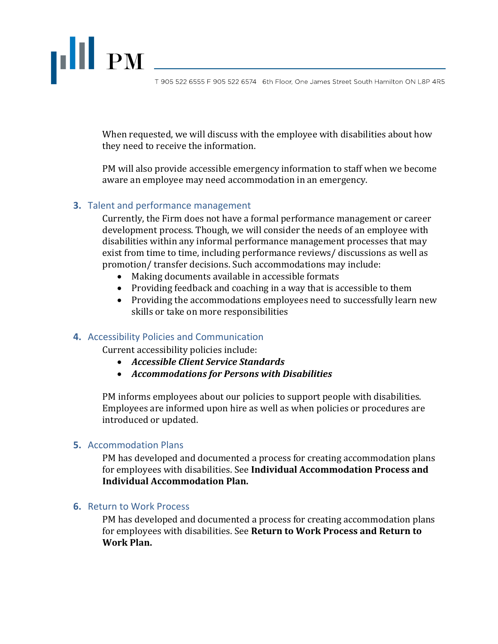When requested, we will discuss with the employee with disabilities about how they need to receive the information.

PM will also provide accessible emergency information to staff when we become aware an employee may need accommodation in an emergency.

#### <span id="page-7-0"></span>**3.** Talent and performance management

 $\begin{array}{c} \textbf{||} \textbf{||} \textbf{ } \textbf{P}\textbf{M} \end{array}$ 

Currently, the Firm does not have a formal performance management or career development process. Though, we will consider the needs of an employee with disabilities within any informal performance management processes that may exist from time to time, including performance reviews/ discussions as well as promotion/ transfer decisions. Such accommodations may include:

- Making documents available in accessible formats
- Providing feedback and coaching in a way that is accessible to them
- Providing the accommodations employees need to successfully learn new skills or take on more responsibilities

#### <span id="page-7-1"></span>**4.** Accessibility Policies and Communication

Current accessibility policies include:

- *Accessible Client Service Standards*
- *Accommodations for Persons with Disabilities*

PM informs employees about our policies to support people with disabilities. Employees are informed upon hire as well as when policies or procedures are introduced or updated.

#### <span id="page-7-2"></span>**5.** Accommodation Plans

PM has developed and documented a process for creating accommodation plans for employees with disabilities. See **Individual Accommodation Process and Individual Accommodation Plan.**

#### <span id="page-7-3"></span>**6.** Return to Work Process

PM has developed and documented a process for creating accommodation plans for employees with disabilities. See **Return to Work Process and Return to Work Plan.**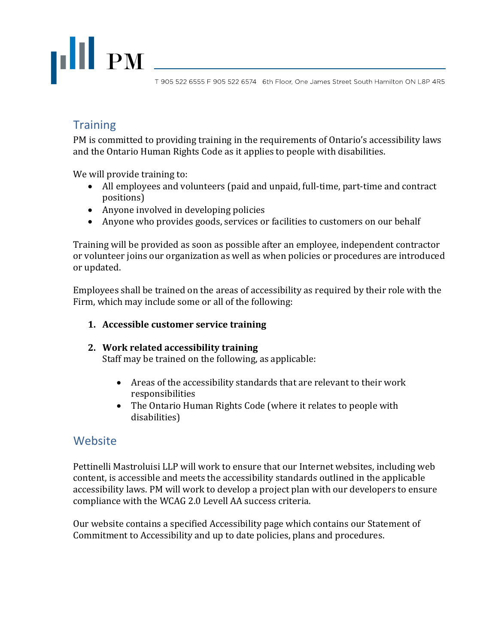

# <span id="page-8-0"></span>**Training**

PM is committed to providing training in the requirements of Ontario's accessibility laws and the Ontario Human Rights Code as it applies to people with disabilities.

We will provide training to:

- All employees and volunteers (paid and unpaid, full-time, part-time and contract positions)
- Anyone involved in developing policies
- Anyone who provides goods, services or facilities to customers on our behalf

Training will be provided as soon as possible after an employee, independent contractor or volunteer joins our organization as well as when policies or procedures are introduced or updated.

Employees shall be trained on the areas of accessibility as required by their role with the Firm, which may include some or all of the following:

#### **1. Accessible customer service training**

#### **2. Work related accessibility training**

Staff may be trained on the following, as applicable:

- Areas of the accessibility standards that are relevant to their work responsibilities
- The Ontario Human Rights Code (where it relates to people with disabilities)

## <span id="page-8-1"></span>Website

Pettinelli Mastroluisi LLP will work to ensure that our Internet websites, including web content, is accessible and meets the accessibility standards outlined in the applicable accessibility laws. PM will work to develop a project plan with our developers to ensure compliance with the WCAG 2.0 Levell AA success criteria.

Our website contains a specified Accessibility page which contains our Statement of Commitment to Accessibility and up to date policies, plans and procedures.